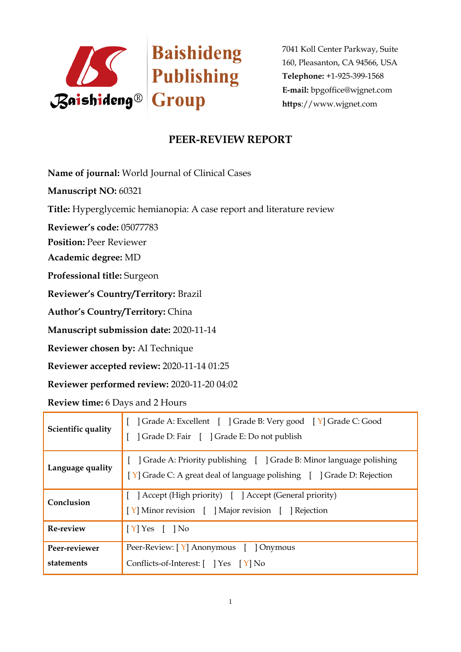

7041 Koll Center Parkway, Suite 160, Pleasanton, CA 94566, USA **Telephone:** +1-925-399-1568 **E-mail:** bpgoffice@wjgnet.com **https**://www.wjgnet.com

## **PEER-REVIEW REPORT**

**Name of journal:** World Journal of Clinical Cases

**Manuscript NO:** 60321

**Title:** Hyperglycemic hemianopia: A case report and literature review

**Reviewer's code:** 05077783

**Position:** Peer Reviewer

**Academic degree:** MD

**Professional title:** Surgeon

**Reviewer's Country/Territory:** Brazil

**Author's Country/Territory:** China

**Manuscript submission date:** 2020-11-14

**Reviewer chosen by:** AI Technique

**Reviewer accepted review:** 2020-11-14 01:25

**Reviewer performed review:** 2020-11-20 04:02

**Review time:** 6 Days and 2 Hours

| Scientific quality          | Grade A: Excellent   Grade B: Very good   Y Grade C: Good<br>] Grade D: Fair [ ] Grade E: Do not publish                                         |
|-----------------------------|--------------------------------------------------------------------------------------------------------------------------------------------------|
| Language quality            | Grade A: Priority publishing [ ] Grade B: Minor language polishing<br>$[Y]$ Grade C: A great deal of language polishing $[$ ] Grade D: Rejection |
| Conclusion                  | [ ] Accept (High priority) [ ] Accept (General priority)<br>[Y] Minor revision [ ] Major revision [ ] Rejection                                  |
| <b>Re-review</b>            | $[Y]$ Yes $[$ $]$ No                                                                                                                             |
| Peer-reviewer<br>statements | Peer-Review: [Y] Anonymous [ ] Onymous<br>Conflicts-of-Interest: $[$ $]$ Yes $[$ Y $]$ No                                                        |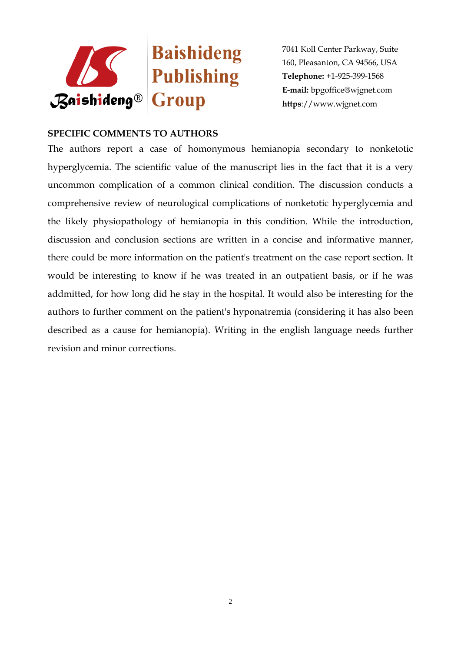

7041 Koll Center Parkway, Suite 160, Pleasanton, CA 94566, USA **Telephone:** +1-925-399-1568 **E-mail:** bpgoffice@wjgnet.com **https**://www.wjgnet.com

## **SPECIFIC COMMENTS TO AUTHORS**

The authors report a case of homonymous hemianopia secondary to nonketotic hyperglycemia. The scientific value of the manuscript lies in the fact that it is a very uncommon complication of a common clinical condition. The discussion conducts a comprehensive review of neurological complications of nonketotic hyperglycemia and the likely physiopathology of hemianopia in this condition. While the introduction, discussion and conclusion sections are written in a concise and informative manner, there could be more information on the patient's treatment on the case report section. It would be interesting to know if he was treated in an outpatient basis, or if he was addmitted, for how long did he stay in the hospital. It would also be interesting for the authors to further comment on the patient's hyponatremia (considering it has also been described as a cause for hemianopia). Writing in the english language needs further revision and minor corrections.